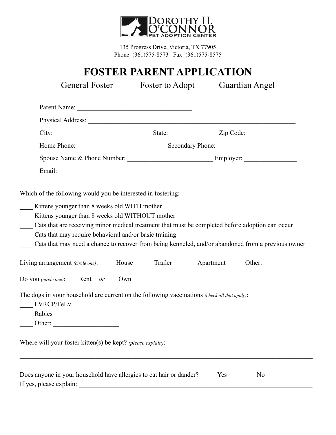

135 Progress Drive, Victoria, TX 77905 Phone: (361)575-8573 Fax: (361)575-8575

## **FOSTER PARENT APPLICATION**

General Foster Foster to Adopt Guardian Angel

| Parent Name: |  |  |
|--------------|--|--|
|              |  |  |

| Physical Address: |  |
|-------------------|--|
|                   |  |

City: \_\_\_\_\_\_\_\_\_\_\_\_\_\_\_\_\_\_\_\_\_\_\_\_\_\_\_\_ State: \_\_\_\_\_\_\_\_\_\_\_\_\_ Zip Code: \_\_\_\_\_\_\_\_\_\_\_\_\_\_\_

Home Phone: \_\_\_\_\_\_\_\_\_\_\_\_\_\_\_\_\_\_\_\_\_ Secondary Phone: \_\_\_\_\_\_\_\_\_\_\_\_\_\_\_\_\_\_\_\_\_\_\_\_

Spouse Name & Phone Number: \_\_\_\_\_\_\_\_\_\_\_\_\_\_\_\_\_\_\_\_\_\_\_\_\_\_ Employer: \_\_\_\_\_\_\_\_\_\_\_\_\_\_\_\_

Email: \_\_\_\_\_\_\_\_\_\_\_\_\_\_\_\_\_\_\_\_\_\_\_\_\_\_\_

Which of the following would you be interested in fostering:

|  | Kittens younger than 8 weeks old WITH mother |  |  |  |  |
|--|----------------------------------------------|--|--|--|--|
|--|----------------------------------------------|--|--|--|--|

- \_\_\_\_ Kittens younger than 8 weeks old WITHOUT mother
- Cats that are receiving minor medical treatment that must be completed before adoption can occur
- \_\_\_\_ Cats that may require behavioral and/or basic training
- Cats that may need a chance to recover from being kenneled, and/or abandoned from a previous owner

| Living arrangement (circle one): | : House | railer | Apartment | )ther: |  |
|----------------------------------|---------|--------|-----------|--------|--|
|----------------------------------|---------|--------|-----------|--------|--|

The dogs in your household are current on the following vaccinations *(check all that apply)*:

- \_\_\_\_ FVRCP/FeLv
- \_\_\_\_ Rabies
- Other:

Where will your foster kitten(s) be kept? *(please explain)*: \_\_\_\_\_\_\_\_\_\_\_\_\_\_\_\_\_\_\_\_\_\_\_\_\_\_\_\_\_\_\_\_\_\_\_\_\_\_\_

| Does anyone in your household have allergies to cat hair or dander? | Yes | No |
|---------------------------------------------------------------------|-----|----|
| If yes, please explain:                                             |     |    |

 $\mathcal{L}_\mathcal{L} = \mathcal{L}_\mathcal{L} = \mathcal{L}_\mathcal{L} = \mathcal{L}_\mathcal{L} = \mathcal{L}_\mathcal{L} = \mathcal{L}_\mathcal{L} = \mathcal{L}_\mathcal{L} = \mathcal{L}_\mathcal{L} = \mathcal{L}_\mathcal{L} = \mathcal{L}_\mathcal{L} = \mathcal{L}_\mathcal{L} = \mathcal{L}_\mathcal{L} = \mathcal{L}_\mathcal{L} = \mathcal{L}_\mathcal{L} = \mathcal{L}_\mathcal{L} = \mathcal{L}_\mathcal{L} = \mathcal{L}_\mathcal{L}$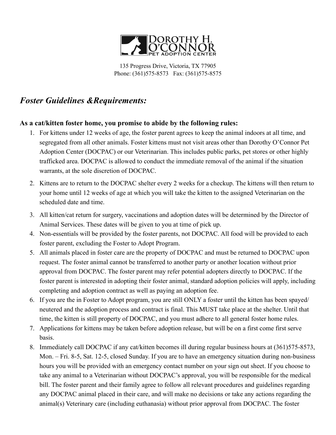

135 Progress Drive, Victoria, TX 77905 Phone: (361)575-8573 Fax: (361)575-8575

## *Foster Guidelines &Requirements:*

#### **As a cat/kitten foster home, you promise to abide by the following rules:**

- 1. For kittens under 12 weeks of age, the foster parent agrees to keep the animal indoors at all time, and segregated from all other animals. Foster kittens must not visit areas other than Dorothy O'Connor Pet Adoption Center (DOCPAC) or our Veterinarian. This includes public parks, pet stores or other highly trafficked area. DOCPAC is allowed to conduct the immediate removal of the animal if the situation warrants, at the sole discretion of DOCPAC.
- 2. Kittens are to return to the DOCPAC shelter every 2 weeks for a checkup. The kittens will then return to your home until 12 weeks of age at which you will take the kitten to the assigned Veterinarian on the scheduled date and time.
- 3. All kitten/cat return for surgery, vaccinations and adoption dates will be determined by the Director of Animal Services. These dates will be given to you at time of pick up.
- 4. Non-essentials will be provided by the foster parents, not DOCPAC. All food will be provided to each foster parent, excluding the Foster to Adopt Program.
- 5. All animals placed in foster care are the property of DOCPAC and must be returned to DOCPAC upon request. The foster animal cannot be transferred to another party or another location without prior approval from DOCPAC. The foster parent may refer potential adopters directly to DOCPAC. If the foster parent is interested in adopting their foster animal, standard adoption policies will apply, including completing and adoption contract as well as paying an adoption fee.
- 6. If you are the in Foster to Adopt program, you are still ONLY a foster until the kitten has been spayed/ neutered and the adoption process and contract is final. This MUST take place at the shelter. Until that time, the kitten is still property of DOCPAC, and you must adhere to all general foster home rules.
- 7. Applications for kittens may be taken before adoption release, but will be on a first come first serve basis.
- 8. Immediately call DOCPAC if any cat/kitten becomes ill during regular business hours at (361)575-8573, Mon. – Fri. 8-5, Sat. 12-5, closed Sunday. If you are to have an emergency situation during non-business hours you will be provided with an emergency contact number on your sign out sheet. If you choose to take any animal to a Veterinarian without DOCPAC's approval, you will be responsible for the medical bill. The foster parent and their family agree to follow all relevant procedures and guidelines regarding any DOCPAC animal placed in their care, and will make no decisions or take any actions regarding the animal(s) Veterinary care (including euthanasia) without prior approval from DOCPAC. The foster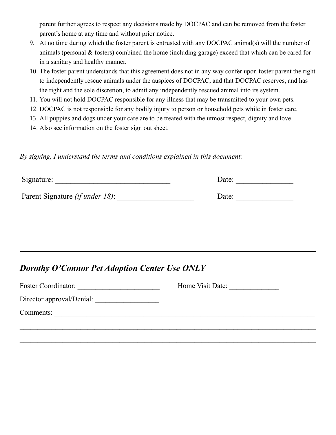parent further agrees to respect any decisions made by DOCPAC and can be removed from the foster parent's home at any time and without prior notice.

- 9. At no time during which the foster parent is entrusted with any DOCPAC animal(s) will the number of animals (personal & fosters) combined the home (including garage) exceed that which can be cared for in a sanitary and healthy manner.
- 10. The foster parent understands that this agreement does not in any way confer upon foster parent the right to independently rescue animals under the auspices of DOCPAC, and that DOCPAC reserves, and has the right and the sole discretion, to admit any independently rescued animal into its system.
- 11. You will not hold DOCPAC responsible for any illness that may be transmitted to your own pets.
- 12. DOCPAC is not responsible for any bodily injury to person or household pets while in foster care.
- 13. All puppies and dogs under your care are to be treated with the utmost respect, dignity and love.
- 14. Also see information on the foster sign out sheet.

*By signing, I understand the terms and conditions explained in this document:*

| Signature:                              | Date: |  |
|-----------------------------------------|-------|--|
| Parent Signature <i>(if under 18)</i> : | Date: |  |

### *Dorothy O'Connor Pet Adoption Center Use ONLY*

| <b>Foster Coordinator:</b> | Home Visit Date: |
|----------------------------|------------------|
| Director approval/Denial:  |                  |
| Comments:                  |                  |
|                            |                  |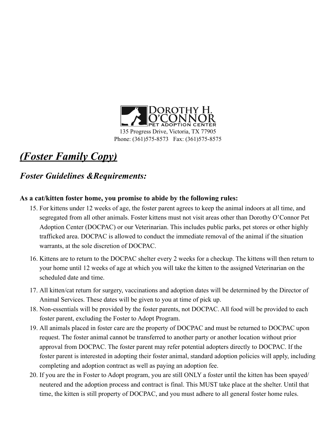

# *(Foster Family Copy)*

### *Foster Guidelines &Requirements:*

#### **As a cat/kitten foster home, you promise to abide by the following rules:**

- 15. For kittens under 12 weeks of age, the foster parent agrees to keep the animal indoors at all time, and segregated from all other animals. Foster kittens must not visit areas other than Dorothy O'Connor Pet Adoption Center (DOCPAC) or our Veterinarian. This includes public parks, pet stores or other highly trafficked area. DOCPAC is allowed to conduct the immediate removal of the animal if the situation warrants, at the sole discretion of DOCPAC.
- 16. Kittens are to return to the DOCPAC shelter every 2 weeks for a checkup. The kittens will then return to your home until 12 weeks of age at which you will take the kitten to the assigned Veterinarian on the scheduled date and time.
- 17. All kitten/cat return for surgery, vaccinations and adoption dates will be determined by the Director of Animal Services. These dates will be given to you at time of pick up.
- 18. Non-essentials will be provided by the foster parents, not DOCPAC. All food will be provided to each foster parent, excluding the Foster to Adopt Program.
- 19. All animals placed in foster care are the property of DOCPAC and must be returned to DOCPAC upon request. The foster animal cannot be transferred to another party or another location without prior approval from DOCPAC. The foster parent may refer potential adopters directly to DOCPAC. If the foster parent is interested in adopting their foster animal, standard adoption policies will apply, including completing and adoption contract as well as paying an adoption fee.
- 20. If you are the in Foster to Adopt program, you are still ONLY a foster until the kitten has been spayed/ neutered and the adoption process and contract is final. This MUST take place at the shelter. Until that time, the kitten is still property of DOCPAC, and you must adhere to all general foster home rules.